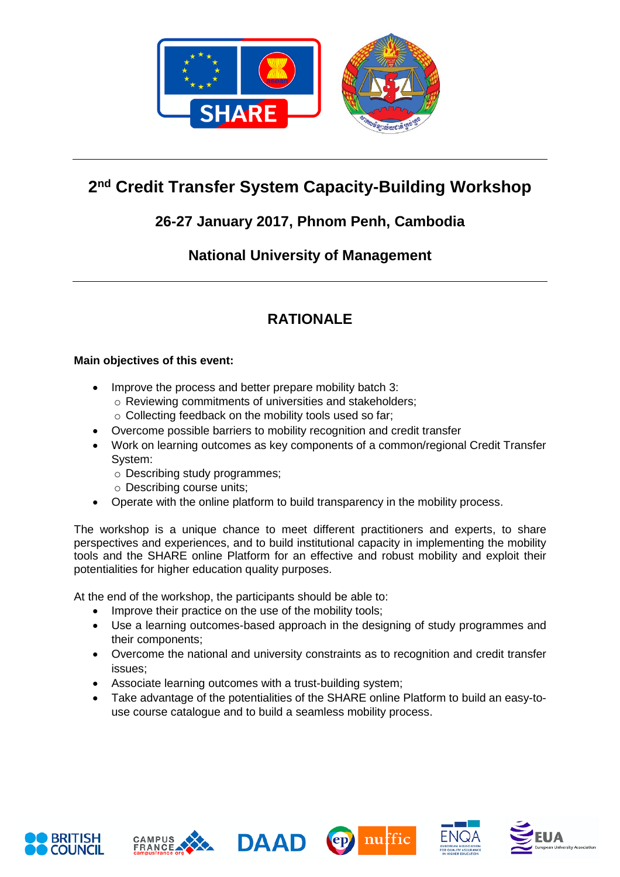

# **2 nd Credit Transfer System Capacity-Building Workshop**

## **26-27 January 2017, Phnom Penh, Cambodia**

### **National University of Management**

# **RATIONALE**

#### **Main objectives of this event:**

- Improve the process and better prepare mobility batch 3:
	- o Reviewing commitments of universities and stakeholders;
	- o Collecting feedback on the mobility tools used so far;
- Overcome possible barriers to mobility recognition and credit transfer
- Work on learning outcomes as key components of a common/regional Credit Transfer System:
	- o Describing study programmes;
	- o Describing course units;
- Operate with the online platform to build transparency in the mobility process.

The workshop is a unique chance to meet different practitioners and experts, to share perspectives and experiences, and to build institutional capacity in implementing the mobility tools and the SHARE online Platform for an effective and robust mobility and exploit their potentialities for higher education quality purposes.

At the end of the workshop, the participants should be able to:

- Improve their practice on the use of the mobility tools;
- Use a learning outcomes-based approach in the designing of study programmes and their components;
- Overcome the national and university constraints as to recognition and credit transfer issues;
- Associate learning outcomes with a trust-building system;
- Take advantage of the potentialities of the SHARE online Platform to build an easy-touse course catalogue and to build a seamless mobility process.











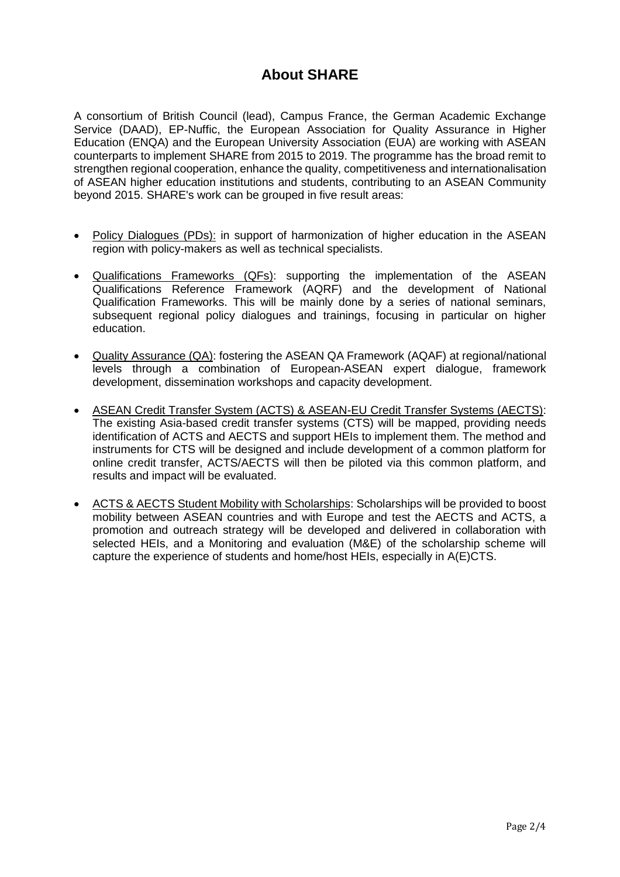### **About SHARE**

A consortium of British Council (lead), Campus France, the German Academic Exchange Service (DAAD), EP-Nuffic, the European Association for Quality Assurance in Higher Education (ENQA) and the European University Association (EUA) are working with ASEAN counterparts to implement SHARE from 2015 to 2019. The programme has the broad remit to strengthen regional cooperation, enhance the quality, competitiveness and internationalisation of ASEAN higher education institutions and students, contributing to an ASEAN Community beyond 2015. SHARE's work can be grouped in five result areas:

- Policy Dialogues (PDs): in support of harmonization of higher education in the ASEAN region with policy-makers as well as technical specialists.
- Qualifications Frameworks (QFs): supporting the implementation of the ASEAN Qualifications Reference Framework (AQRF) and the development of National Qualification Frameworks. This will be mainly done by a series of national seminars, subsequent regional policy dialogues and trainings, focusing in particular on higher education.
- Quality Assurance (QA): fostering the ASEAN QA Framework (AQAF) at regional/national levels through a combination of European-ASEAN expert dialogue, framework development, dissemination workshops and capacity development.
- ASEAN Credit Transfer System (ACTS) & ASEAN-EU Credit Transfer Systems (AECTS): The existing Asia-based credit transfer systems (CTS) will be mapped, providing needs identification of ACTS and AECTS and support HEIs to implement them. The method and instruments for CTS will be designed and include development of a common platform for online credit transfer, ACTS/AECTS will then be piloted via this common platform, and results and impact will be evaluated.
- ACTS & AECTS Student Mobility with Scholarships: Scholarships will be provided to boost mobility between ASEAN countries and with Europe and test the AECTS and ACTS, a promotion and outreach strategy will be developed and delivered in collaboration with selected HEIs, and a Monitoring and evaluation (M&E) of the scholarship scheme will capture the experience of students and home/host HEIs, especially in A(E)CTS.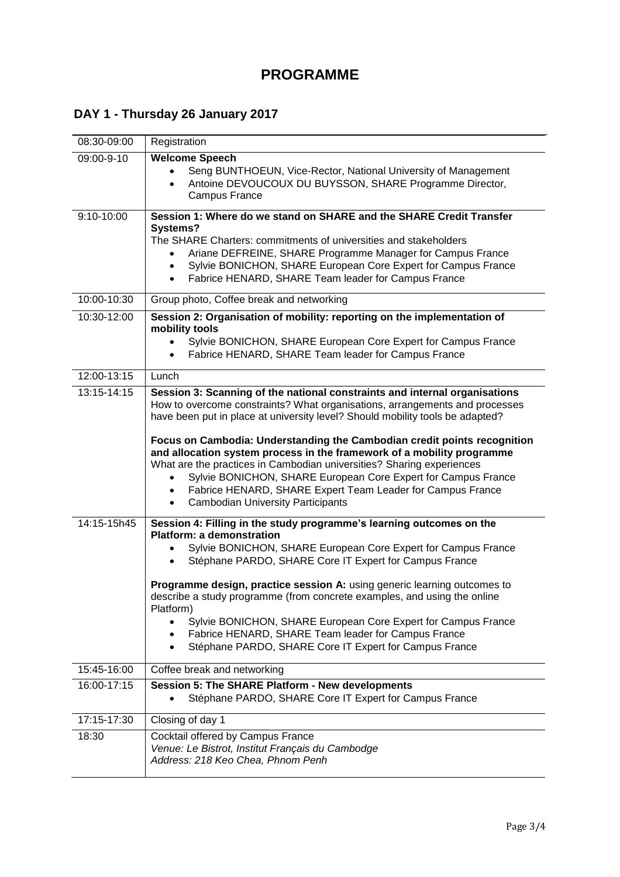## **DAY 1 - Thursday 26 January 2017**

| 08:30-09:00 | Registration                                                                                                                                                                                                                                                                                                                                                                                                                                                                                                                                                                               |
|-------------|--------------------------------------------------------------------------------------------------------------------------------------------------------------------------------------------------------------------------------------------------------------------------------------------------------------------------------------------------------------------------------------------------------------------------------------------------------------------------------------------------------------------------------------------------------------------------------------------|
| 09:00-9-10  | <b>Welcome Speech</b><br>Seng BUNTHOEUN, Vice-Rector, National University of Management<br>Antoine DEVOUCOUX DU BUYSSON, SHARE Programme Director,<br>$\bullet$<br>Campus France                                                                                                                                                                                                                                                                                                                                                                                                           |
| 9:10-10:00  | Session 1: Where do we stand on SHARE and the SHARE Credit Transfer<br>Systems?<br>The SHARE Charters: commitments of universities and stakeholders<br>Ariane DEFREINE, SHARE Programme Manager for Campus France<br>Sylvie BONICHON, SHARE European Core Expert for Campus France<br>$\bullet$<br>Fabrice HENARD, SHARE Team leader for Campus France<br>$\bullet$                                                                                                                                                                                                                        |
| 10:00-10:30 | Group photo, Coffee break and networking                                                                                                                                                                                                                                                                                                                                                                                                                                                                                                                                                   |
| 10:30-12:00 | Session 2: Organisation of mobility: reporting on the implementation of<br>mobility tools<br>Sylvie BONICHON, SHARE European Core Expert for Campus France<br>Fabrice HENARD, SHARE Team leader for Campus France                                                                                                                                                                                                                                                                                                                                                                          |
| 12:00-13:15 | Lunch                                                                                                                                                                                                                                                                                                                                                                                                                                                                                                                                                                                      |
| 13:15-14:15 | Session 3: Scanning of the national constraints and internal organisations<br>How to overcome constraints? What organisations, arrangements and processes<br>have been put in place at university level? Should mobility tools be adapted?                                                                                                                                                                                                                                                                                                                                                 |
|             | Focus on Cambodia: Understanding the Cambodian credit points recognition<br>and allocation system process in the framework of a mobility programme<br>What are the practices in Cambodian universities? Sharing experiences<br>Sylvie BONICHON, SHARE European Core Expert for Campus France<br>Fabrice HENARD, SHARE Expert Team Leader for Campus France<br>$\bullet$<br><b>Cambodian University Participants</b><br>$\bullet$                                                                                                                                                           |
| 14:15-15h45 | Session 4: Filling in the study programme's learning outcomes on the<br><b>Platform: a demonstration</b><br>Sylvie BONICHON, SHARE European Core Expert for Campus France<br>Stéphane PARDO, SHARE Core IT Expert for Campus France<br>Programme design, practice session A: using generic learning outcomes to<br>describe a study programme (from concrete examples, and using the online<br>Platform)<br>Sylvie BONICHON, SHARE European Core Expert for Campus France<br>Fabrice HENARD, SHARE Team leader for Campus France<br>Stéphane PARDO, SHARE Core IT Expert for Campus France |
| 15:45-16:00 | Coffee break and networking                                                                                                                                                                                                                                                                                                                                                                                                                                                                                                                                                                |
| 16:00-17:15 | Session 5: The SHARE Platform - New developments<br>Stéphane PARDO, SHARE Core IT Expert for Campus France                                                                                                                                                                                                                                                                                                                                                                                                                                                                                 |
| 17:15-17:30 | Closing of day 1                                                                                                                                                                                                                                                                                                                                                                                                                                                                                                                                                                           |
| 18:30       | Cocktail offered by Campus France<br>Venue: Le Bistrot, Institut Français du Cambodge<br>Address: 218 Keo Chea, Phnom Penh                                                                                                                                                                                                                                                                                                                                                                                                                                                                 |